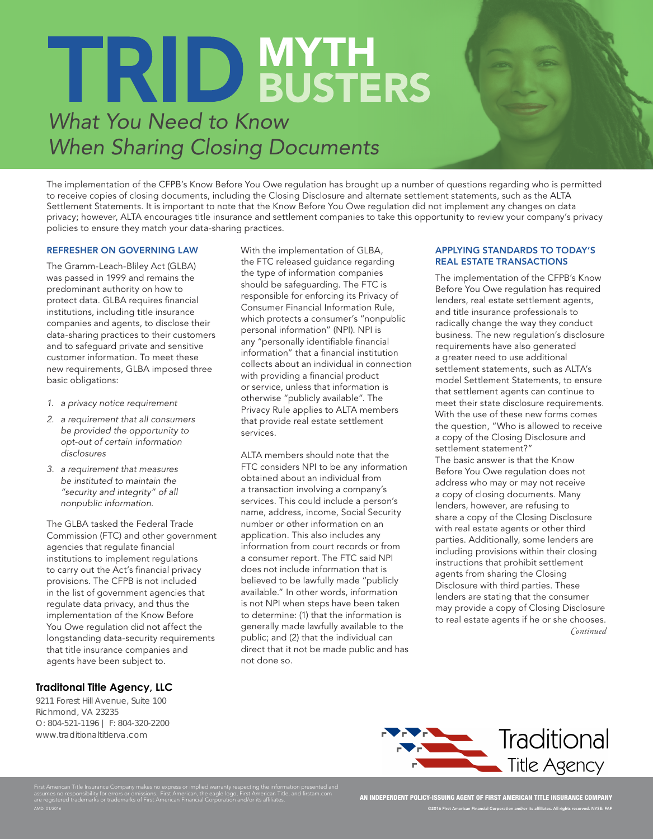# TRID MYTH

# *What You Need to Know When Sharing Closing Documents*

The implementation of the CFPB's Know Before You Owe regulation has brought up a number of questions regarding who is permitted to receive copies of closing documents, including the Closing Disclosure and alternate settlement statements, such as the ALTA Settlement Statements. It is important to note that the Know Before You Owe regulation did not implement any changes on data privacy; however, ALTA encourages title insurance and settlement companies to take this opportunity to review your company's privacy policies to ensure they match your data-sharing practices.

#### REFRESHER ON GOVERNING LAW

The Gramm-Leach-Bliley Act (GLBA) was passed in 1999 and remains the predominant authority on how to protect data. GLBA requires financial institutions, including title insurance companies and agents, to disclose their data-sharing practices to their customers and to safeguard private and sensitive customer information. To meet these new requirements, GLBA imposed three basic obligations:

- *1. a privacy notice requirement*
- *2. a requirement that all consumers be provided the opportunity to opt-out of certain information disclosures*
- *3. a requirement that measures be instituted to maintain the "security and integrity" of all nonpublic information.*

The GLBA tasked the Federal Trade Commission (FTC) and other government agencies that regulate financial institutions to implement regulations to carry out the Act's financial privacy provisions. The CFPB is not included in the list of government agencies that regulate data privacy, and thus the implementation of the Know Before You Owe regulation did not affect the longstanding data-security requirements that title insurance companies and agents have been subject to.

First American Title Insurance Company makes no express or implied warranty respecting the information presented and assumes no responsibility for errors or omissions. First American, the eagle logo, First American Title, and firstam.com

are registered trademarks or trademarks of First American Financial Corporation and/or its affiliates.

### **Traditonal Title Agency, LLC**

9211 Forest Hill Avenue, Suite 100 Richmond, VA 23235 O: 804-521-1196 | F: 804-320-2200 www.traditionaltitlerva.com

AMD: 01/2016

With the implementation of GLBA, the FTC released guidance regarding the type of information companies should be safeguarding. The FTC is responsible for enforcing its Privacy of Consumer Financial Information Rule, which protects a consumer's "nonpublic personal information" (NPI). NPI is any "personally identifiable financial information" that a financial institution collects about an individual in connection with providing a financial product or service, unless that information is otherwise "publicly available". The Privacy Rule applies to ALTA members that provide real estate settlement services.

ALTA members should note that the FTC considers NPI to be any information obtained about an individual from a transaction involving a company's services. This could include a person's name, address, income, Social Security number or other information on an application. This also includes any information from court records or from a consumer report. The FTC said NPI does not include information that is believed to be lawfully made "publicly available." In other words, information is not NPI when steps have been taken to determine: (1) that the information is generally made lawfully available to the public; and (2) that the individual can direct that it not be made public and has not done so.

#### APPLYING STANDARDS TO TODAY'S REAL ESTATE TRANSACTIONS

The implementation of the CFPB's Know Before You Owe regulation has required lenders, real estate settlement agents, and title insurance professionals to radically change the way they conduct business. The new regulation's disclosure requirements have also generated a greater need to use additional settlement statements, such as ALTA's model Settlement Statements, to ensure that settlement agents can continue to meet their state disclosure requirements. With the use of these new forms comes the question, "Who is allowed to receive a copy of the Closing Disclosure and settlement statement?" The basic answer is that the Know Before You Owe regulation does not address who may or may not receive a copy of closing documents. Many lenders, however, are refusing to share a copy of the Closing Disclosure with real estate agents or other third parties. Additionally, some lenders are including provisions within their closing instructions that prohibit settlement agents from sharing the Closing Disclosure with third parties. These lenders are stating that the consumer may provide a copy of Closing Disclosure to real estate agents if he or she chooses. *Continued*

Traditional **Title Agency** 

AN INDEPENDENT POLICY-ISSUING AGENT OF FIRST AMERICAN TITLE INSURANCE COMPANY ©2016 First American Financial Corporation and/or its affiliates. All rights reserved. NYSE: FAF